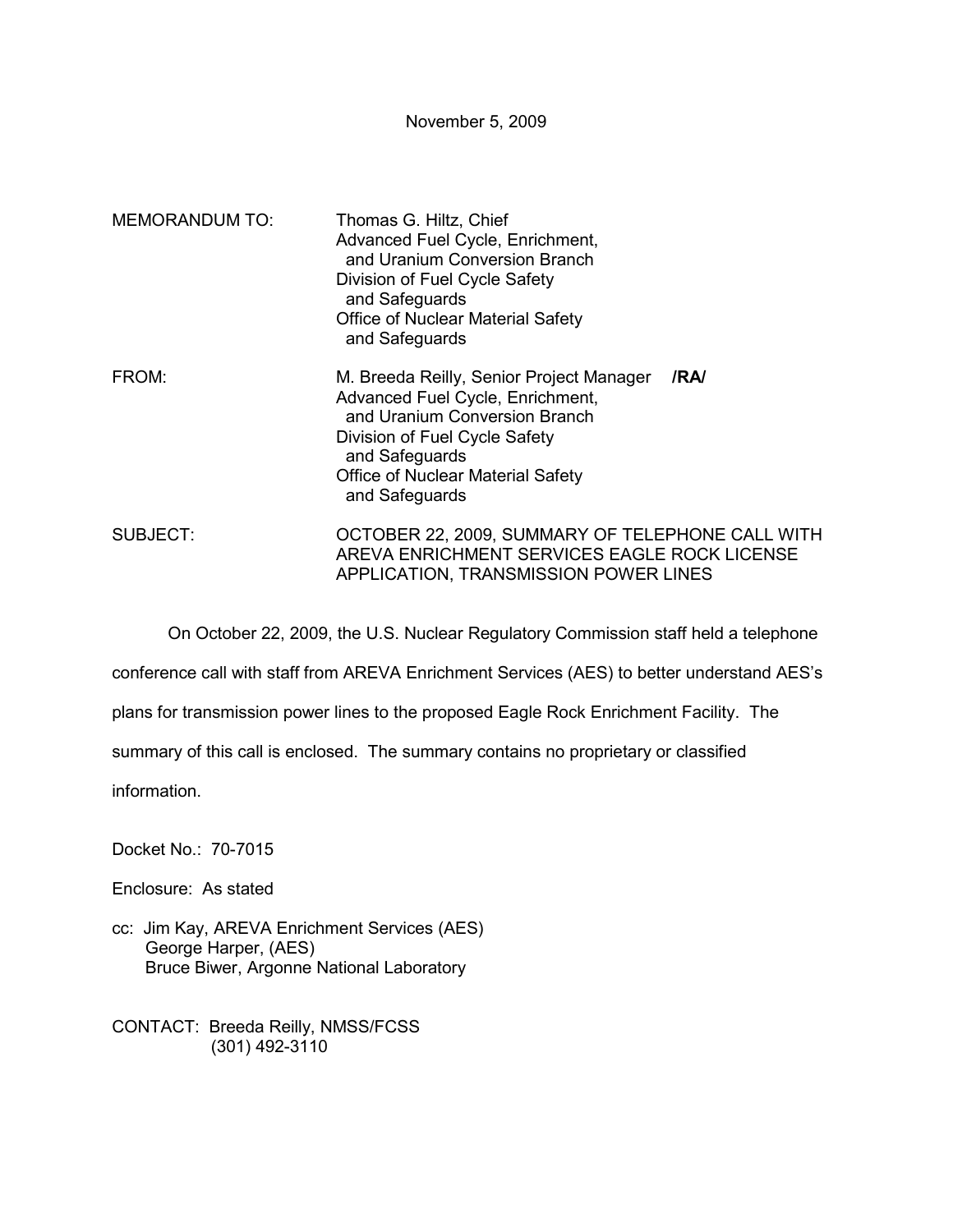November 5, 2009

| <b>MEMORANDUM TO:</b> | Thomas G. Hiltz, Chief<br>Advanced Fuel Cycle, Enrichment,<br>and Uranium Conversion Branch<br>Division of Fuel Cycle Safety<br>and Safeguards<br><b>Office of Nuclear Material Safety</b><br>and Safeguards                           |
|-----------------------|----------------------------------------------------------------------------------------------------------------------------------------------------------------------------------------------------------------------------------------|
| FROM:                 | /RA/<br>M. Breeda Reilly, Senior Project Manager<br>Advanced Fuel Cycle, Enrichment,<br>and Uranium Conversion Branch<br>Division of Fuel Cycle Safety<br>and Safeguards<br><b>Office of Nuclear Material Safety</b><br>and Safeguards |
| SUBJECT:              | OCTOBER 22, 2009, SUMMARY OF TELEPHONE CALL WITH<br>AREVA ENRICHMENT SERVICES EAGLE ROCK LICENSE<br>APPLICATION, TRANSMISSION POWER LINES                                                                                              |

On October 22, 2009, the U.S. Nuclear Regulatory Commission staff held a telephone

conference call with staff from AREVA Enrichment Services (AES) to better understand AES's

plans for transmission power lines to the proposed Eagle Rock Enrichment Facility. The

summary of this call is enclosed. The summary contains no proprietary or classified

information.

Docket No.: 70-7015

Enclosure: As stated

cc: Jim Kay, AREVA Enrichment Services (AES) George Harper, (AES) Bruce Biwer, Argonne National Laboratory

CONTACT: Breeda Reilly, NMSS/FCSS (301) 492-3110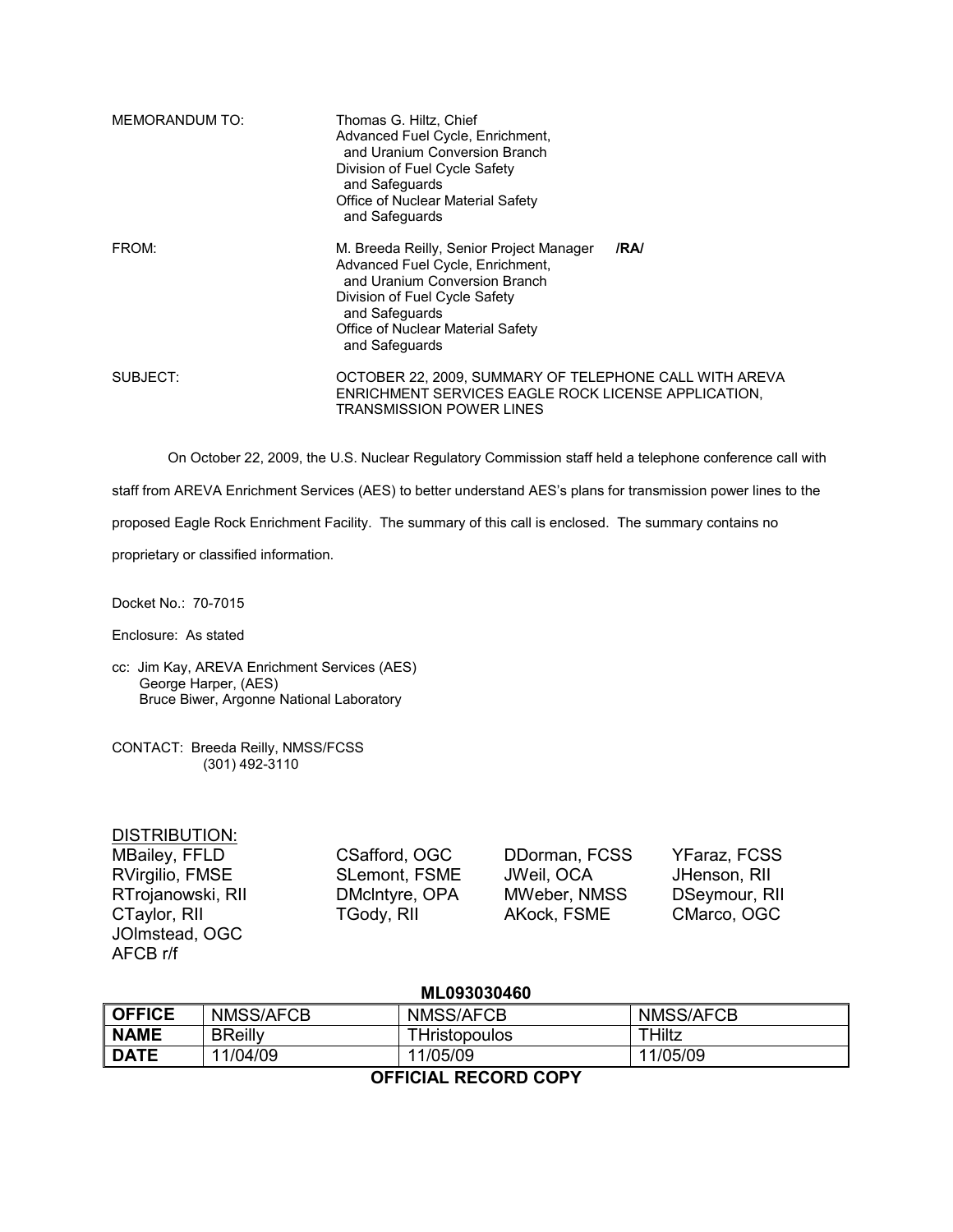| MEMORANDUM TO: | Thomas G. Hiltz, Chief<br>Advanced Fuel Cycle, Enrichment,<br>and Uranium Conversion Branch<br>Division of Fuel Cycle Safety<br>and Safeguards<br>Office of Nuclear Material Safety<br>and Safeguards                           |
|----------------|---------------------------------------------------------------------------------------------------------------------------------------------------------------------------------------------------------------------------------|
| FROM:          | /RA/<br>M. Breeda Reilly, Senior Project Manager<br>Advanced Fuel Cycle, Enrichment,<br>and Uranium Conversion Branch<br>Division of Fuel Cycle Safety<br>and Safeguards<br>Office of Nuclear Material Safety<br>and Safeguards |
| SUBJECT:       | OCTOBER 22, 2009, SUMMARY OF TELEPHONE CALL WITH AREVA<br>ENRICHMENT SERVICES EAGLE ROCK LICENSE APPLICATION.<br>TRANSMISSION POWER LINES                                                                                       |

On October 22, 2009, the U.S. Nuclear Regulatory Commission staff held a telephone conference call with

staff from AREVA Enrichment Services (AES) to better understand AES's plans for transmission power lines to the

proposed Eagle Rock Enrichment Facility. The summary of this call is enclosed. The summary contains no

proprietary or classified information.

Docket No.: 70-7015

Enclosure: As stated

cc: Jim Kay, AREVA Enrichment Services (AES) George Harper, (AES) Bruce Biwer, Argonne National Laboratory

CONTACT: Breeda Reilly, NMSS/FCSS (301) 492-3110

## DISTRIBUTION:

MBailey, FFLD CSafford, OGC DDorman, FCSS YFaraz, FCSS RVirgilio, FMSE SLemont, FSME JWeil, OCA JHenson, RII RTrojanowski, RII DMclntyre, OPA MWeber, NMSS DSeymour, RII CTaylor, RII **TGody, RII AKock, FSME** CMarco, OGC JOlmstead, OGC AFCB r/f

## **ML093030460**

| ∥ OFFICE | NMSS/AFCB      | NMSS/AFCB     | <b>NMSS/AFCB</b> |  |  |
|----------|----------------|---------------|------------------|--|--|
| ∥ NAME   | <b>BReilly</b> | ΓHristopoulos | THiltz           |  |  |
| ∥ DATE   | 11/04/09       | 11/05/09      | 11/05/09         |  |  |
|          |                |               |                  |  |  |

**OFFICIAL RECORD COPY**